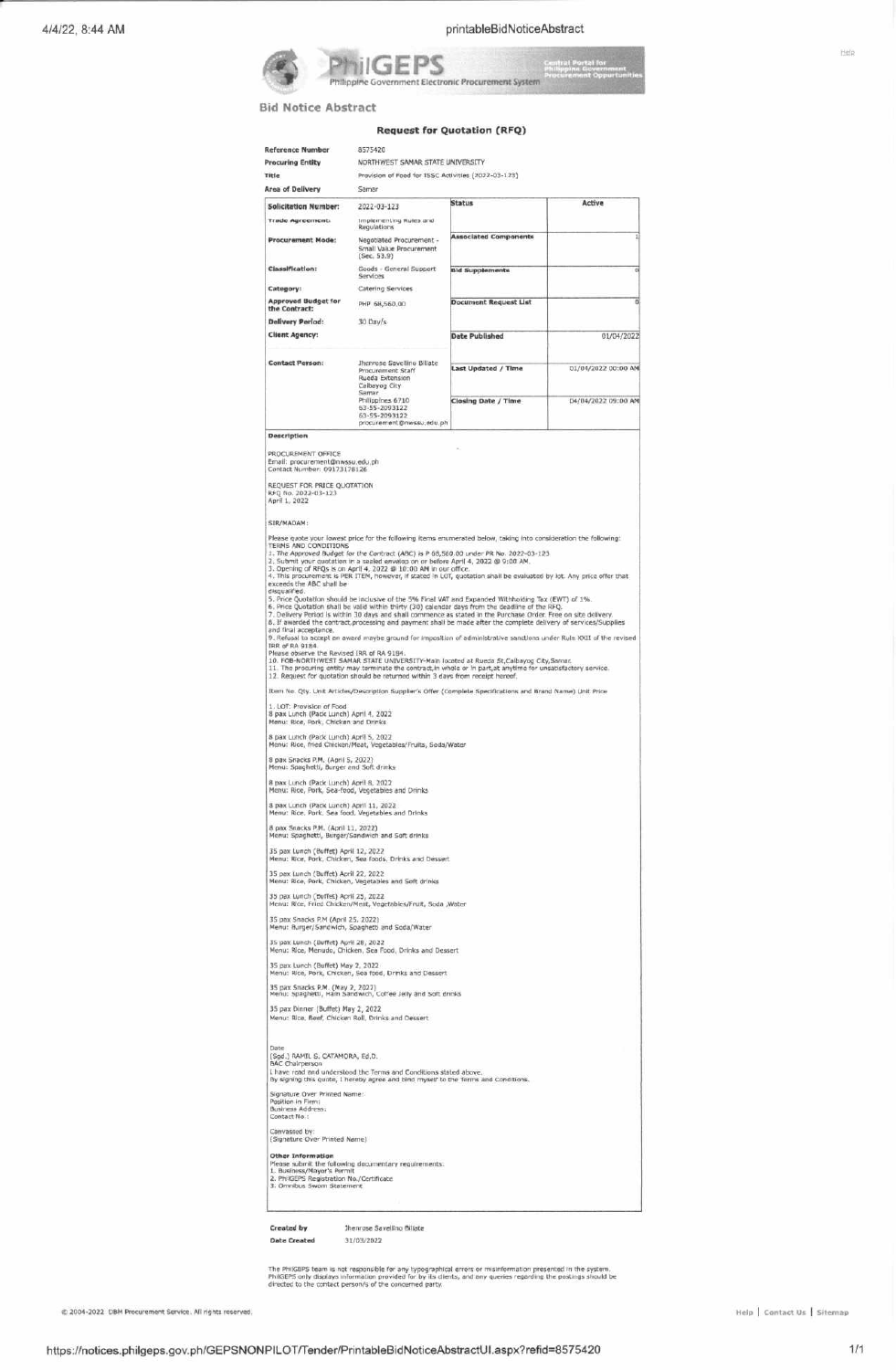

Central Port<br>Philippina G nt Sys

## **Bid Notice Abstract**

## **Request for Quotation (RFQ)**

| <b>Procuring Entity</b><br>Title<br><b>Area of Delivery</b>                                                                                         | NORTHWEST SAMAR STATE UNIVERSITY                                                                                                                                               |                                                                                                                                                                                                                                                                                                                                                                                                                                                                                                                                                                                                                                                                                                                                                                                                                                                                                                                   |                     |
|-----------------------------------------------------------------------------------------------------------------------------------------------------|--------------------------------------------------------------------------------------------------------------------------------------------------------------------------------|-------------------------------------------------------------------------------------------------------------------------------------------------------------------------------------------------------------------------------------------------------------------------------------------------------------------------------------------------------------------------------------------------------------------------------------------------------------------------------------------------------------------------------------------------------------------------------------------------------------------------------------------------------------------------------------------------------------------------------------------------------------------------------------------------------------------------------------------------------------------------------------------------------------------|---------------------|
|                                                                                                                                                     | Pravision of Food for ISSC Activities (2022-03-123)                                                                                                                            |                                                                                                                                                                                                                                                                                                                                                                                                                                                                                                                                                                                                                                                                                                                                                                                                                                                                                                                   |                     |
|                                                                                                                                                     | Samar                                                                                                                                                                          |                                                                                                                                                                                                                                                                                                                                                                                                                                                                                                                                                                                                                                                                                                                                                                                                                                                                                                                   |                     |
| <b>Solicitation Number:</b>                                                                                                                         | 2022-03-123                                                                                                                                                                    | <b>Status</b>                                                                                                                                                                                                                                                                                                                                                                                                                                                                                                                                                                                                                                                                                                                                                                                                                                                                                                     | Active              |
| <b>Trade Agreements</b>                                                                                                                             | Implementing Rules and<br>Regulations                                                                                                                                          | <b>Associated Components</b>                                                                                                                                                                                                                                                                                                                                                                                                                                                                                                                                                                                                                                                                                                                                                                                                                                                                                      |                     |
| <b>Procurement Mode:</b>                                                                                                                            | Negotiated Procurement -<br>Small Value Procurement<br>(Sec. 53.9)                                                                                                             |                                                                                                                                                                                                                                                                                                                                                                                                                                                                                                                                                                                                                                                                                                                                                                                                                                                                                                                   |                     |
| <b>Classification:</b>                                                                                                                              | Goods - General Support<br>Services                                                                                                                                            | <b>Bid Supplements</b>                                                                                                                                                                                                                                                                                                                                                                                                                                                                                                                                                                                                                                                                                                                                                                                                                                                                                            |                     |
| Category:                                                                                                                                           | Catering Services                                                                                                                                                              |                                                                                                                                                                                                                                                                                                                                                                                                                                                                                                                                                                                                                                                                                                                                                                                                                                                                                                                   |                     |
| <b>Approved Budget for</b><br>the Contract:                                                                                                         | PHP 68,560.00                                                                                                                                                                  | <b>Document Request List</b>                                                                                                                                                                                                                                                                                                                                                                                                                                                                                                                                                                                                                                                                                                                                                                                                                                                                                      |                     |
| <b>Delivery Period:</b><br><b>Client Agency:</b>                                                                                                    | $30$ Dav/s                                                                                                                                                                     | Date Published                                                                                                                                                                                                                                                                                                                                                                                                                                                                                                                                                                                                                                                                                                                                                                                                                                                                                                    | 01/04/202           |
| <b>Contact Person:</b>                                                                                                                              | Jhenrose Savellino Billate<br>Procurement Staff<br>Rueda Extension<br>Calbayog City<br>Samar<br>Philippines 6710<br>63-55-2093122<br>63-55-2093122<br>procurement@nwssu.edu.ph | <b>Last Updated / Time</b>                                                                                                                                                                                                                                                                                                                                                                                                                                                                                                                                                                                                                                                                                                                                                                                                                                                                                        | 01/04/2022 00:00 A  |
|                                                                                                                                                     |                                                                                                                                                                                | <b>Closing Date / Time</b>                                                                                                                                                                                                                                                                                                                                                                                                                                                                                                                                                                                                                                                                                                                                                                                                                                                                                        | 04/04/2022 09:00 Af |
| Description                                                                                                                                         |                                                                                                                                                                                |                                                                                                                                                                                                                                                                                                                                                                                                                                                                                                                                                                                                                                                                                                                                                                                                                                                                                                                   |                     |
| Email: procurement@nwssu.edu.ph<br>Contact Number: 09173178126<br>REQUEST FOR PRICE QUOTATION<br>RFQ No. 2022-03-123<br>April 1, 2022<br>SIR/MADAM: |                                                                                                                                                                                |                                                                                                                                                                                                                                                                                                                                                                                                                                                                                                                                                                                                                                                                                                                                                                                                                                                                                                                   |                     |
| exceeds the ABC shall be<br>disqualified.<br>and final acceptance.<br>TRR of RA 9184.<br>Please observe the Revised IRR of RA 9184.                 |                                                                                                                                                                                | 4. This procurement is PER ITEM, however, if stated in LOT, quotation shall be evaluated by lot. Any price offer that<br>5. Price Quotation should be inclusive of the 5% Final VAT and Expanded Withholding Tax (EWT) of 1%.<br>6. Price Quotation shall be valid within thirty (30) calendar days from the deadline of the RFQ.<br>7. Delivery Period is within 30 days and shall commence as stated in the Purchase Order. Free on site delivery.<br>8. If awarded the contract, processing and payment shall be made after the complete delivery of services/Supplies<br>9. Refusal to accept an award maybe ground for imposition of administrative sanctions under Rule XXII of the revised<br>10. FOB-NORTHWEST SAMAR STATE UNIVERSITY-Main located at Rueda St, Calbayog City, Samar.<br>11. The procuring entity may terminate the contract, in whole or in part, at anytime for unsatisfactory service. |                     |
|                                                                                                                                                     | 12. Request for quotation should be returned within 3 days from receipt hereof.                                                                                                | Item No. Qty. Unit Articles/Description Supplier's Offer (Complete Specifications and Brand Name) Unit Price                                                                                                                                                                                                                                                                                                                                                                                                                                                                                                                                                                                                                                                                                                                                                                                                      |                     |
| 1. LOT: Provision of Food<br>8 pax Lunch (Pack Lunch) April 4, 2022<br>Menu: Rice, Pork, Chicken and Drinks                                         |                                                                                                                                                                                |                                                                                                                                                                                                                                                                                                                                                                                                                                                                                                                                                                                                                                                                                                                                                                                                                                                                                                                   |                     |
| 8 pax Lunch (Pack Lunch) April 5, 2022                                                                                                              | Menu: Rice, fried Chicken/Meat, Vegetables/Fruits, Soda/Water                                                                                                                  |                                                                                                                                                                                                                                                                                                                                                                                                                                                                                                                                                                                                                                                                                                                                                                                                                                                                                                                   |                     |
| 8 pax Snacks P.M. (April 5, 2022)                                                                                                                   |                                                                                                                                                                                |                                                                                                                                                                                                                                                                                                                                                                                                                                                                                                                                                                                                                                                                                                                                                                                                                                                                                                                   |                     |
| Menu: Spaghetti, Burger and Soft drinks                                                                                                             |                                                                                                                                                                                |                                                                                                                                                                                                                                                                                                                                                                                                                                                                                                                                                                                                                                                                                                                                                                                                                                                                                                                   |                     |
| 8 pax Lunch (Pack Lunch) April 8, 2022                                                                                                              |                                                                                                                                                                                |                                                                                                                                                                                                                                                                                                                                                                                                                                                                                                                                                                                                                                                                                                                                                                                                                                                                                                                   |                     |
| 8 pax Lunch (Pack Lunch) April 11, 2022                                                                                                             | Menu: Rice, Pork, Sea-food, Vegetables and Drinks<br>Menu: Rice, Pork, Sea food, Vegetables and Drinks                                                                         |                                                                                                                                                                                                                                                                                                                                                                                                                                                                                                                                                                                                                                                                                                                                                                                                                                                                                                                   |                     |
| 8 pax Snacks P.M. (April 11, 2022)                                                                                                                  | Menu: Spaghetti, Burger/Sandwich and Soft drinks                                                                                                                               |                                                                                                                                                                                                                                                                                                                                                                                                                                                                                                                                                                                                                                                                                                                                                                                                                                                                                                                   |                     |
| 35 pax Lunch (Buffet) April 12, 2022                                                                                                                | Menu: Rice, Pork, Chicken, Sea foods, Drinks and Dessert                                                                                                                       |                                                                                                                                                                                                                                                                                                                                                                                                                                                                                                                                                                                                                                                                                                                                                                                                                                                                                                                   |                     |
| 35 pax Lunch (Buffet) April 22, 2022                                                                                                                |                                                                                                                                                                                |                                                                                                                                                                                                                                                                                                                                                                                                                                                                                                                                                                                                                                                                                                                                                                                                                                                                                                                   |                     |
| 35 pax Lunch (Buffet) April 25, 2022                                                                                                                | Menu: Rice, Pork, Chicken, Vegetables and Soft drinks                                                                                                                          |                                                                                                                                                                                                                                                                                                                                                                                                                                                                                                                                                                                                                                                                                                                                                                                                                                                                                                                   |                     |
| 35 pax Snacks P.M (April 25, 2022)                                                                                                                  | Menu: Rice, Fried Chicken/Meat, Vegetables/Fruit, Soda ,Water                                                                                                                  |                                                                                                                                                                                                                                                                                                                                                                                                                                                                                                                                                                                                                                                                                                                                                                                                                                                                                                                   |                     |
|                                                                                                                                                     | Menu: Burger/Sandwich, Spaghetti and Soda/Water                                                                                                                                |                                                                                                                                                                                                                                                                                                                                                                                                                                                                                                                                                                                                                                                                                                                                                                                                                                                                                                                   |                     |
| 35 pax Lunch (Buffet) April 28, 2022                                                                                                                | Menu: Rice, Menudo, Chicken, Sea Food, Drinks and Dessert                                                                                                                      |                                                                                                                                                                                                                                                                                                                                                                                                                                                                                                                                                                                                                                                                                                                                                                                                                                                                                                                   |                     |
| 35 pax Lunch (Buffet) May 2, 2022                                                                                                                   | Menu: Rice, Pork, Chicken, Sea food, Drinks and Dessert                                                                                                                        |                                                                                                                                                                                                                                                                                                                                                                                                                                                                                                                                                                                                                                                                                                                                                                                                                                                                                                                   |                     |
|                                                                                                                                                     | 35 pax Snacks P.M. (May 2, 2022)<br>Menu: Spaghetti, Ham Sandwich, Coffee Jelly and Soft drinks                                                                                |                                                                                                                                                                                                                                                                                                                                                                                                                                                                                                                                                                                                                                                                                                                                                                                                                                                                                                                   |                     |
| 35 pax Dinner (Buffet) May 2, 2022                                                                                                                  | Menu: Rice, Beef, Chicken Roll, Drinks and Dessert                                                                                                                             |                                                                                                                                                                                                                                                                                                                                                                                                                                                                                                                                                                                                                                                                                                                                                                                                                                                                                                                   |                     |
| Date<br>(Sgd.) RAMIL S. CATAMORA, Ed.D.<br><b>BAC Chairperson</b>                                                                                   | I have read and understood the Terms and Conditions stated above.<br>By signing this quote, I hereby agree and bind myself to the Terms and Conditions.                        |                                                                                                                                                                                                                                                                                                                                                                                                                                                                                                                                                                                                                                                                                                                                                                                                                                                                                                                   |                     |
| Signature Over Printed Name:<br>Position in Firm:<br>Business Address:<br>Contact No.:                                                              |                                                                                                                                                                                |                                                                                                                                                                                                                                                                                                                                                                                                                                                                                                                                                                                                                                                                                                                                                                                                                                                                                                                   |                     |
| Canvassed by:<br>(Signature Over Printed Name)                                                                                                      |                                                                                                                                                                                |                                                                                                                                                                                                                                                                                                                                                                                                                                                                                                                                                                                                                                                                                                                                                                                                                                                                                                                   |                     |

Created by<br>Date Created

**Jhenrose Savellino Billate** 31/03/2022

The PhilGEPS team is not responsible for any typographical errors or misinformation presented in the system.<br>PhilGEPS only displays information provided for by its clients, and any queries regarding the postings should be<br>

@ 2004-2022 DBM Procurement Service. All rights reserved.

Help